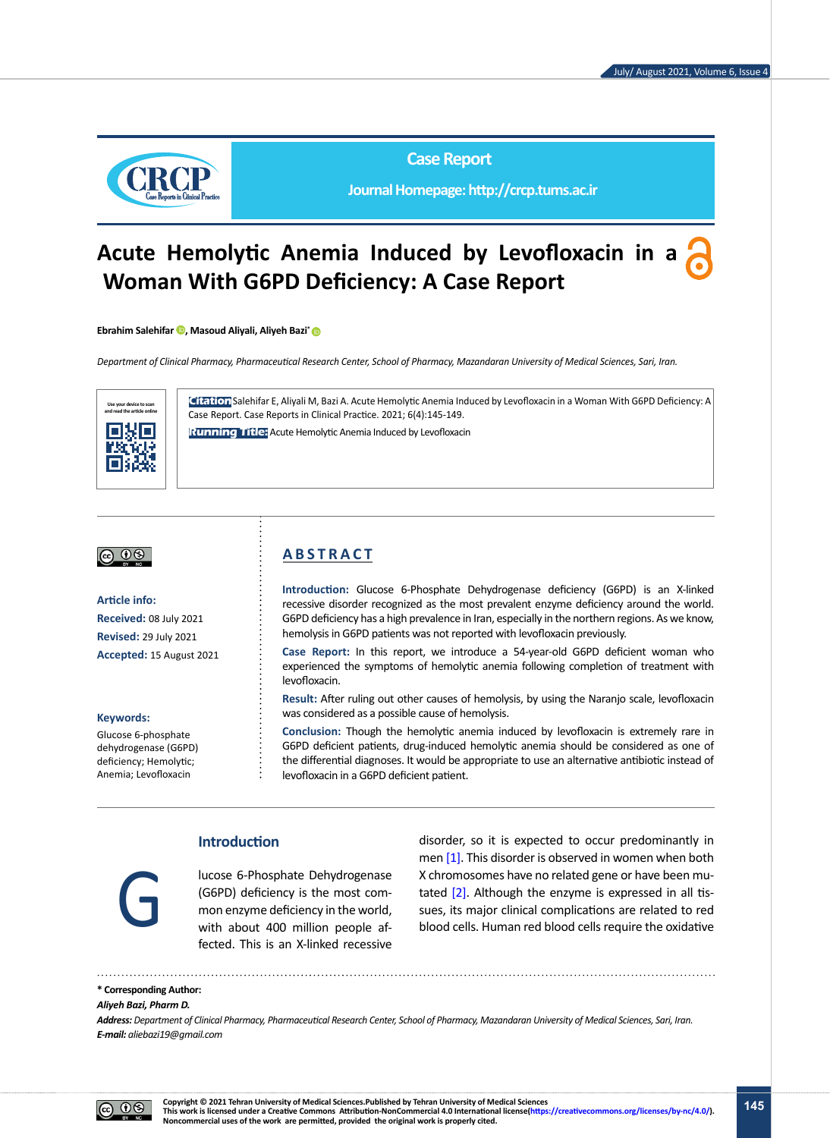

**Case Report**

**Journal Homepage: http://crcp.tums.ac.ir**

# **Acute Hemolytic Anemia Induced by Levofloxacin in a Woman With G6PD Deficiency: A Case Report**

**Ebrahim Salehifar <sup>1</sup>, Masoud Aliyali, Aliyeh Bazi<sup>\*</sup> <sup>1</sup>** 

*Department of Clinical Pharmacy, Pharmaceutical Research Center, School of Pharmacy, Mazandaran University of Medical Sciences, Sari, Iran.*



**Citation**Salehifar E, Aliyali M, Bazi A. Acute Hemolytic Anemia Induced by Levofloxacin in a Woman With G6PD Deficiency: A Case Report. Case Reports in Clinical Practice. 2021; 6(4):145-149.

**Running Title:** Acute Hemolytic Anemia Induced by Levofloxacin

## 

**Article info: Received:** 08 July 2021 **Revised:** 29 July 2021 **Accepted:** 15 August 2021

#### **Keywords:**

Glucose 6-phosphate dehydrogenase (G6PD) deficiency; Hemolytic; Anemia; Levofloxacin

# **A B S T R A C T**

**Introduction:** Glucose 6-Phosphate Dehydrogenase deficiency (G6PD) is an X-linked recessive disorder recognized as the most prevalent enzyme deficiency around the world. G6PD deficiency has a high prevalence in Iran, especially in the northern regions. As we know, hemolysis in G6PD patients was not reported with levofloxacin previously.

**Case Report:** In this report, we introduce a 54-year-old G6PD deficient woman who experienced the symptoms of hemolytic anemia following completion of treatment with levofloxacin.

**Result:** After ruling out other causes of hemolysis, by using the Naranjo scale, levofloxacin was considered as a possible cause of hemolysis.

**Conclusion:** Though the hemolytic anemia induced by levofloxacin is extremely rare in G6PD deficient patients, drug-induced hemolytic anemia should be considered as one of the differential diagnoses. It would be appropriate to use an alternative antibiotic instead of levofloxacin in a G6PD deficient patient.

# **Introduction**

lucose 6-Phosphate Dehydrogenase (G6PD) deficiency is the most common enzyme deficiency in the world, with about 400 million people affected. This is an X-linked recessive

disorder, so it is expected to occur predominantly in men [\[1\]](#page-3-0). This disorder is observed in women when both X chromosomes have no related gene or have been mutated  $[2]$ . Although the enzyme is expressed in all tis-Iucose 6-Phosphate Dehydrogenase X chromosomes have no related gene or have been mu-<br>
(G6PD) deficiency is the most com-<br>
mon enzyme deficiency in the world,<br>
with about 400 million people af-<br>
blood cells. Human red blood

### **\* Corresponding Author:**

#### *Aliyeh Bazi, Pharm D.*

*Address: Department of Clinical Pharmacy, Pharmaceutical Research Center, School of Pharmacy, Mazandaran University of Medical Sciences, Sari, Iran. E-mail: aliebazi19@gmail.com*

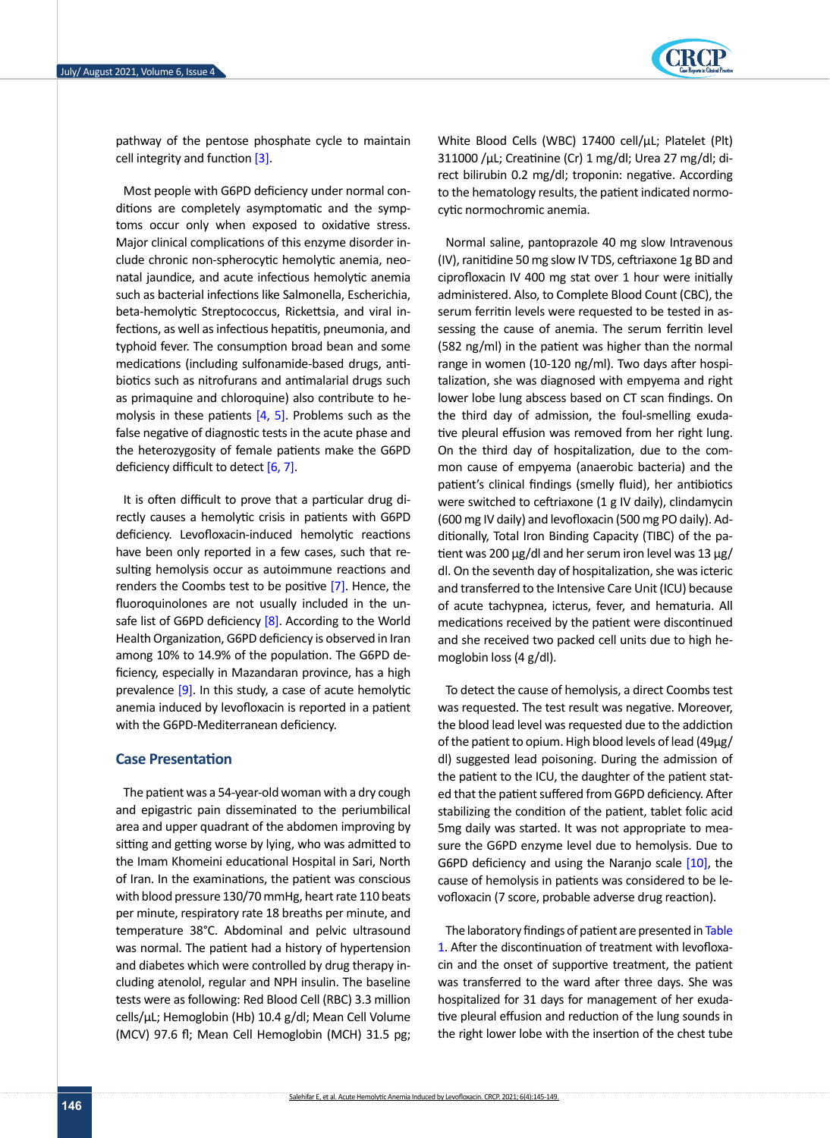

pathway of the pentose phosphate cycle to maintain cell integrity and function [3].

Most people with G6PD deficiency under normal conditions are completely asymptomatic and the symptoms occur only when exposed to oxidative stress. Major clinical complications of this enzyme disorder include chronic non-spherocytic hemolytic anemia, neonatal jaundice, and acute infectious hemolytic anemia such as bacterial infections like Salmonella, Escherichia, beta-hemolytic Streptococcus, Rickettsia, and viral infections, as well as infectious hepatitis, pneumonia, and typhoid fever. The consumption broad bean and some medications (including sulfonamide-based drugs, antibiotics such as nitrofurans and antimalarial drugs such as primaquine and chloroquine) also contribute to hemolysis in these patients  $[4, 5]$  $[4, 5]$ . Problems such as the false negative of diagnostic tests in the acute phase and the heterozygosity of female patients make the G6PD deficiency difficult to detect [\[6,](#page-3-3) [7\]](#page-3-4).

It is often difficult to prove that a particular drug directly causes a hemolytic crisis in patients with G6PD deficiency. Levofloxacin-induced hemolytic reactions have been only reported in a few cases, such that resulting hemolysis occur as autoimmune reactions and renders the Coombs test to be positive [\[7\].](#page-3-4) Hence, the fluoroquinolones are not usually included in the un-safe list of G6PD deficiency [\[8\].](#page-3-5) According to the World Health Organization, G6PD deficiency is observed in Iran among 10% to 14.9% of the population. The G6PD deficiency, especially in Mazandaran province, has a high prevalence [9]. In this study, a case of acute hemolytic anemia induced by levofloxacin is reported in a patient with the G6PD-Mediterranean deficiency.

### **Case Presentation**

The patient was a 54-year-old woman with a dry cough and epigastric pain disseminated to the periumbilical area and upper quadrant of the abdomen improving by sitting and getting worse by lying, who was admitted to the Imam Khomeini educational Hospital in Sari, North of Iran. In the examinations, the patient was conscious with blood pressure 130/70 mmHg, heart rate 110 beats per minute, respiratory rate 18 breaths per minute, and temperature 38°C. Abdominal and pelvic ultrasound was normal. The patient had a history of hypertension and diabetes which were controlled by drug therapy including atenolol, regular and NPH insulin. The baseline tests were as following: Red Blood Cell (RBC) 3.3 million cells/μL; Hemoglobin (Hb) 10.4 g/dl; Mean Cell Volume (MCV) 97.6 fl; Mean Cell Hemoglobin (MCH) 31.5 pg; White Blood Cells (WBC) 17400 cell/μL; Platelet (Plt) 311000 /μL; Creatinine (Cr) 1 mg/dl; Urea 27 mg/dl; direct bilirubin 0.2 mg/dl; troponin: negative. According to the hematology results, the patient indicated normocytic normochromic anemia.

Normal saline, pantoprazole 40 mg slow Intravenous (IV), ranitidine 50 mg slow IV TDS, ceftriaxone 1g BD and ciprofloxacin IV 400 mg stat over 1 hour were initially administered. Also, to Complete Blood Count (CBC), the serum ferritin levels were requested to be tested in assessing the cause of anemia. The serum ferritin level (582 ng/ml) in the patient was higher than the normal range in women (10-120 ng/ml). Two days after hospitalization, she was diagnosed with empyema and right lower lobe lung abscess based on CT scan findings. On the third day of admission, the foul-smelling exudative pleural effusion was removed from her right lung. On the third day of hospitalization, due to the common cause of empyema (anaerobic bacteria) and the patient's clinical findings (smelly fluid), her antibiotics were switched to ceftriaxone (1 g IV daily), clindamycin (600 mg IV daily) and levofloxacin (500 mg PO daily). Additionally, Total Iron Binding Capacity (TIBC) of the patient was 200 μg/dl and her serum iron level was 13 μg/ dl. On the seventh day of hospitalization, she was icteric and transferred to the Intensive Care Unit (ICU) because of acute tachypnea, icterus, fever, and hematuria. All medications received by the patient were discontinued and she received two packed cell units due to high hemoglobin loss (4 g/dl).

To detect the cause of hemolysis, a direct Coombs test was requested. The test result was negative. Moreover, the blood lead level was requested due to the addiction of the patient to opium. High blood levels of lead (49µg/ dl) suggested lead poisoning. During the admission of the patient to the ICU, the daughter of the patient stated that the patient suffered from G6PD deficiency. After stabilizing the condition of the patient, tablet folic acid 5mg daily was started. It was not appropriate to measure the G6PD enzyme level due to hemolysis. Due to G6PD deficiency and using the Naranjo scale [\[10\],](#page-3-6) the cause of hemolysis in patients was considered to be levofloxacin (7 score, probable adverse drug reaction).

The laboratory findings of patient are presented in [Table](#page-2-0)  [1.](#page-2-0) After the discontinuation of treatment with levofloxacin and the onset of supportive treatment, the patient was transferred to the ward after three days. She was hospitalized for 31 days for management of her exudative pleural effusion and reduction of the lung sounds in the right lower lobe with the insertion of the chest tube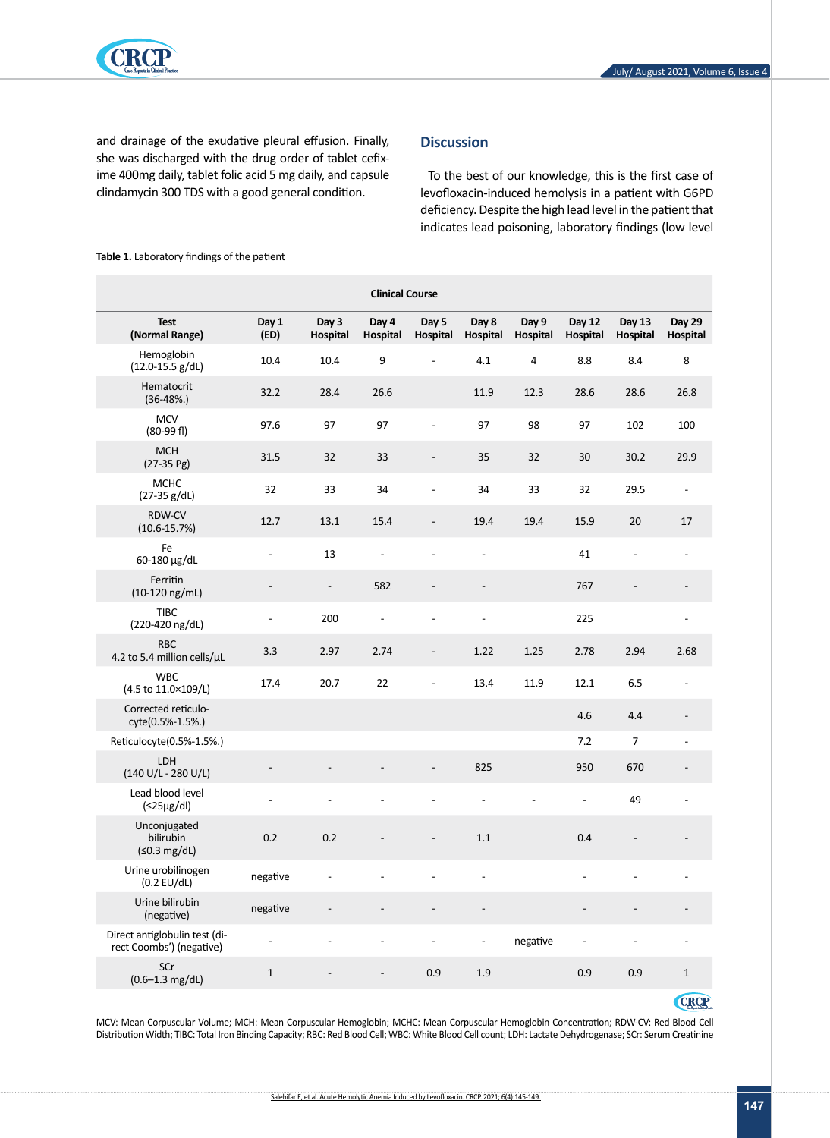

and drainage of the exudative pleural effusion. Finally, she was discharged with the drug order of tablet cefixime 400mg daily, tablet folic acid 5 mg daily, and capsule clindamycin 300 TDS with a good general condition.

# **Discussion**

To the best of our knowledge, this is the first case of levofloxacin-induced hemolysis in a patient with G6PD deficiency. Despite the high lead level in the patient that indicates lead poisoning, laboratory findings (low level

| <b>Clinical Course</b>                                    |                |                          |                   |                          |                              |                   |                           |                              |                           |
|-----------------------------------------------------------|----------------|--------------------------|-------------------|--------------------------|------------------------------|-------------------|---------------------------|------------------------------|---------------------------|
| <b>Test</b><br>(Normal Range)                             | Day 1<br>(ED)  | Day 3<br>Hospital        | Day 4<br>Hospital | Day 5<br>Hospital        | Day 8<br>Hospital            | Day 9<br>Hospital | <b>Day 12</b><br>Hospital | Day 13<br>Hospital           | <b>Day 29</b><br>Hospital |
| Hemoglobin<br>$(12.0 - 15.5 g/dL)$                        | 10.4           | 10.4                     | 9                 | $\overline{a}$           | 4.1                          | 4                 | 8.8                       | 8.4                          | 8                         |
| Hematocrit<br>$(36-48%.)$                                 | 32.2           | 28.4                     | 26.6              |                          | 11.9                         | 12.3              | 28.6                      | 28.6                         | 26.8                      |
| <b>MCV</b><br>$(80-99)$ fl)                               | 97.6           | 97                       | 97                |                          | 97                           | 98                | 97                        | 102                          | 100                       |
| <b>MCH</b><br>$(27-35)$ Pg)                               | 31.5           | 32                       | 33                |                          | 35                           | 32                | 30                        | 30.2                         | 29.9                      |
| <b>MCHC</b><br>$(27-35 g/dL)$                             | 32             | 33                       | 34                |                          | 34                           | 33                | 32                        | 29.5                         | $\overline{\phantom{a}}$  |
| RDW-CV<br>$(10.6 - 15.7%)$                                | 12.7           | 13.1                     | 15.4              |                          | 19.4                         | 19.4              | 15.9                      | 20                           | 17                        |
| Fe<br>60-180 µg/dL                                        | $\frac{1}{2}$  | 13                       | $\overline{a}$    |                          | $\overline{a}$               |                   | 41                        | $\qquad \qquad \blacksquare$ |                           |
| Ferritin<br>(10-120 ng/mL)                                |                | $\overline{\phantom{a}}$ | 582               |                          |                              |                   | 767                       |                              |                           |
| <b>TIBC</b><br>(220-420 ng/dL)                            | $\overline{a}$ | 200                      | $\frac{1}{2}$     |                          |                              |                   | 225                       |                              | $\overline{a}$            |
| <b>RBC</b><br>4.2 to 5.4 million cells/µL                 | 3.3            | 2.97                     | 2.74              | $\overline{\phantom{a}}$ | 1.22                         | 1.25              | 2.78                      | 2.94                         | 2.68                      |
| <b>WBC</b><br>(4.5 to 11.0×109/L)                         | 17.4           | 20.7                     | 22                | $\overline{\phantom{a}}$ | 13.4                         | 11.9              | 12.1                      | 6.5                          | $\overline{\phantom{a}}$  |
| Corrected reticulo-<br>cyte(0.5%-1.5%.)                   |                |                          |                   |                          |                              |                   | 4.6                       | 4.4                          |                           |
| Reticulocyte(0.5%-1.5%.)                                  |                |                          |                   |                          |                              |                   | 7.2                       | $\overline{7}$               | $\overline{a}$            |
| <b>LDH</b><br>$(140 U/L - 280 U/L)$                       |                |                          |                   |                          | 825                          |                   | 950                       | 670                          |                           |
| Lead blood level<br>(≤25µg/dl)                            |                |                          |                   |                          |                              |                   | $\overline{a}$            | 49                           |                           |
| Unconjugated<br>bilirubin<br>$(50.3 \text{ mg/dL})$       | 0.2            | 0.2                      |                   | $\overline{\phantom{a}}$ | 1.1                          |                   | 0.4                       | $\overline{\phantom{a}}$     |                           |
| Urine urobilinogen<br>$(0.2$ EU/dL)                       | negative       | $\overline{a}$           |                   | $\frac{1}{2}$            | $\qquad \qquad \blacksquare$ |                   | $\overline{a}$            |                              |                           |
| Urine bilirubin<br>(negative)                             | negative       |                          |                   |                          |                              |                   |                           |                              |                           |
| Direct antiglobulin test (di-<br>rect Coombs') (negative) |                |                          |                   |                          |                              | negative          |                           |                              |                           |
| SCr<br>$(0.6 - 1.3 \text{ mg/dL})$                        | $\mathbf 1$    |                          |                   | 0.9                      | 1.9                          |                   | 0.9                       | 0.9                          | $\mathbf{1}$              |

<span id="page-2-0"></span>**Table 1.** Laboratory findings of the patient

**CRCP** 

MCV: Mean Corpuscular Volume; MCH: Mean Corpuscular Hemoglobin; MCHC: Mean Corpuscular Hemoglobin Concentration; RDW-CV: Red Blood Cell Distribution Width; TIBC: Total Iron Binding Capacity; RBC: Red Blood Cell; WBC: White Blood Cell count; LDH: Lactate Dehydrogenase; SCr: Serum Creatinine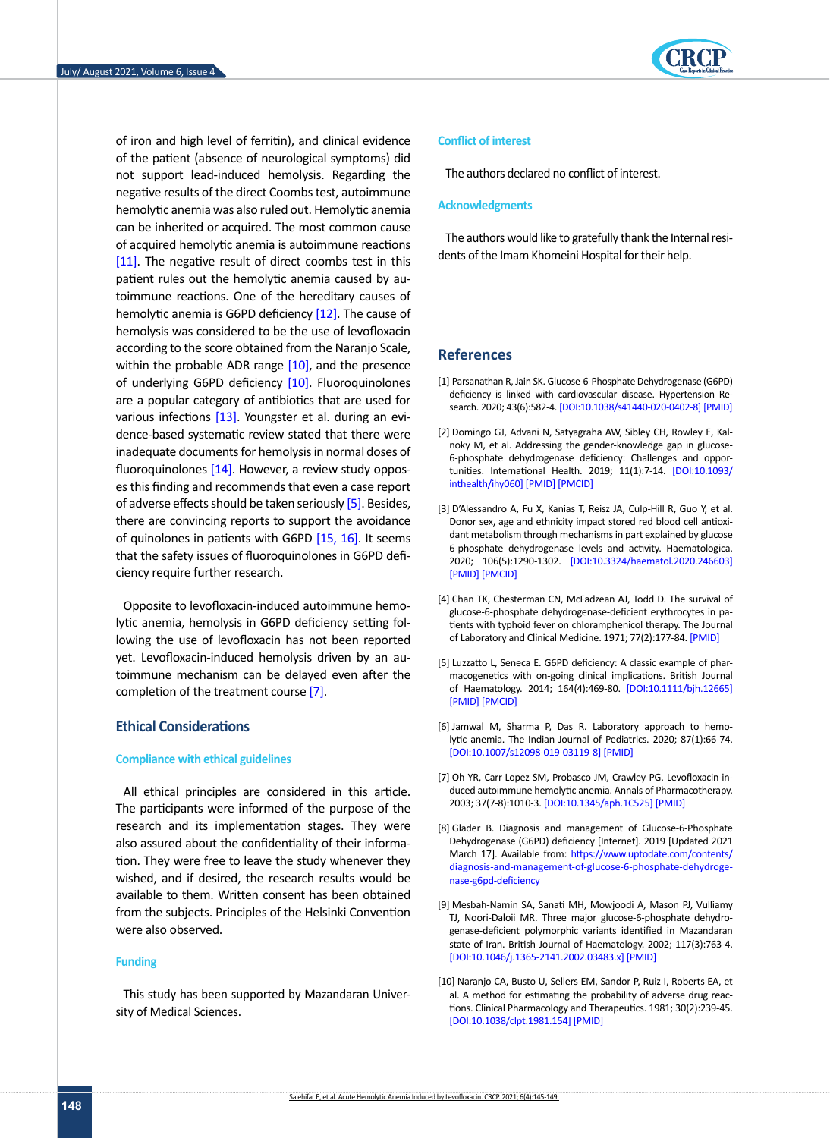of iron and high level of ferritin), and clinical evidence of the patient (absence of neurological symptoms) did not support lead-induced hemolysis. Regarding the negative results of the direct Coombs test, autoimmune hemolytic anemia was also ruled out. Hemolytic anemia can be inherited or acquired. The most common cause of acquired hemolytic anemia is autoimmune reactions [\[11\].](#page-4-0) The negative result of direct coombs test in this patient rules out the hemolytic anemia caused by autoimmune reactions. One of the hereditary causes of hemolytic anemia is G6PD deficiency [\[12\].](#page-4-1) The cause of hemolysis was considered to be the use of levofloxacin according to the score obtained from the Naranjo Scale, within the probable ADR range [\[10\]](#page-3-6), and the presence of underlying G6PD deficiency [\[10\]](#page-3-6). Fluoroquinolones are a popular category of antibiotics that are used for various infections [\[13\].](#page-4-2) Youngster et al. during an evidence-based systematic review stated that there were inadequate documents for hemolysis in normal doses of fluoroquinolones [\[14\]](#page-4-3). However, a review study opposes this finding and recommends that even a case report of adverse effects should be taken seriously [5]. Besides, there are convincing reports to support the avoidance of quinolones in patients with G6PD [\[15,](#page-4-4) 16]. It seems that the safety issues of fluoroquinolones in G6PD deficiency require further research.

Opposite to levofloxacin-induced autoimmune hemolytic anemia, hemolysis in G6PD deficiency setting following the use of levofloxacin has not been reported yet. Levofloxacin-induced hemolysis driven by an autoimmune mechanism can be delayed even after the completion of the treatment course [\[7\].](#page-3-4)

### **Ethical Considerations**

### **Compliance with ethical guidelines**

All ethical principles are considered in this article. The participants were informed of the purpose of the research and its implementation stages. They were also assured about the confidentiality of their information. They were free to leave the study whenever they wished, and if desired, the research results would be available to them. Written consent has been obtained from the subjects. Principles of the Helsinki Convention were also observed.

#### **Funding**

This study has been supported by Mazandaran University of Medical Sciences.



### **Conflict of interest**

The authors declared no conflict of interest.

#### **Acknowledgments**

The authors would like to gratefully thank the Internal residents of the Imam Khomeini Hospital for their help.

### **References**

- <span id="page-3-0"></span>[1] Parsanathan R, Jain SK. Glucose-6-Phosphate Dehydrogenase (G6PD) deficiency is linked with cardiovascular disease. Hypertension Research. 2020; 43(6):582-4. [\[DOI:10.1038/s41440-020-0402-8](https://doi.org/10.1038/s41440-020-0402-8)] [\[PMID\]](https://www.ncbi.nlm.nih.gov/pubmed/31974484)
- <span id="page-3-1"></span>[2] Domingo GJ, Advani N, Satyagraha AW, Sibley CH, Rowley E, Kalnoky M, et al. Addressing the gender-knowledge gap in glucose-6-phosphate dehydrogenase deficiency: Challenges and opportunities. International Health. 2019; 11(1):7-14. [\[DOI:10.1093/](https://doi.org/10.1093/inthealth/ihy060) [inthealth/ihy060](https://doi.org/10.1093/inthealth/ihy060)] [[PMID\]](https://www.ncbi.nlm.nih.gov/pubmed/30184203) [\[PMCID\]](http://www.ncbi.nlm.nih.gov/pmc/articles/PMC6314154)
- [3] D'Alessandro A, Fu X, Kanias T, Reisz JA, Culp-Hill R, Guo Y, et al. Donor sex, age and ethnicity impact stored red blood cell antioxidant metabolism through mechanisms in part explained by glucose 6-phosphate dehydrogenase levels and activity. Haematologica. 2020; 106(5):1290-1302. [\[DOI:10.3324/haematol.2020.246603](https://doi.org/10.3324/haematol.2020.246603)] [[PMID\]](https://pubmed.ncbi.nlm.nih.gov/32241843/) [\[PMCID\]](http://www.ncbi.nlm.nih.gov/pmc/articles/pmc8094095/)
- <span id="page-3-2"></span>[4] Chan TK, Chesterman CN, McFadzean AJ, Todd D. The survival of glucose-6-phosphate dehydrogenase-deficient erythrocytes in patients with typhoid fever on chloramphenicol therapy. The Journal of Laboratory and Clinical Medicine. 1971; 77(2):177-84. [\[PMID](https://pubmed.ncbi.nlm.nih.gov/5540765/)]
- [5] Luzzatto L, Seneca E. G6PD deficiency: A classic example of pharmacogenetics with on‐going clinical implications. British Journal of Haematology. 2014; 164(4):469-80. [[DOI:10.1111/bjh.12665](https://doi.org/10.1111/bjh.12665)] [[PMID\]](https://www.ncbi.nlm.nih.gov/pubmed/24372186) [\[PMCID\]](http://www.ncbi.nlm.nih.gov/pmc/articles/PMC4153881)
- <span id="page-3-3"></span>[6] Jamwal M, Sharma P, Das R. Laboratory approach to hemolytic anemia. The Indian Journal of Pediatrics. 2020; 87(1):66-74. [[DOI:10.1007/s12098-019-03119-8](https://doi.org/10.1007/s12098-019-03119-8)] [[PMID](https://www.ncbi.nlm.nih.gov/pubmed/31823208)]
- <span id="page-3-4"></span>[7] Oh YR, Carr-Lopez SM, Probasco JM, Crawley PG. Levofloxacin-induced autoimmune hemolytic anemia. Annals of Pharmacotherapy. 2003; 37(7-8):1010-3. [\[DOI:10.1345/aph.1C525](https://doi.org/10.1345/aph.1C525)] [[PMID](https://www.ncbi.nlm.nih.gov/pubmed/12841809)]
- <span id="page-3-5"></span>[8] Glader B. Diagnosis and management of Glucose-6-Phosphate Dehydrogenase (G6PD) deficiency [Internet]. 2019 [Updated 2021 March 17]. Available from: [https://www.uptodate.com/contents/](https://www.uptodate.com/contents/diagnosis-and-management-of-glucose-6-phosphate-dehydrogenase-g6pd-deficiency) [diagnosis-and-management-of-glucose-6-phosphate-dehydroge](https://www.uptodate.com/contents/diagnosis-and-management-of-glucose-6-phosphate-dehydrogenase-g6pd-deficiency)[nase-g6pd-deficiency](https://www.uptodate.com/contents/diagnosis-and-management-of-glucose-6-phosphate-dehydrogenase-g6pd-deficiency)
- [9] Mesbah‐Namin SA, Sanati MH, Mowjoodi A, Mason PJ, Vulliamy TJ, Noori‐Daloii MR. Three major glucose‐6‐phosphate dehydrogenase‐deficient polymorphic variants identified in Mazandaran state of Iran. British Journal of Haematology. 2002; 117(3):763-4. [[DOI:10.1046/j.1365-2141.2002.03483.x](https://doi.org/10.1046/j.1365-2141.2002.03483.x)] [[PMID\]](https://www.ncbi.nlm.nih.gov/pubmed/12028056)
- <span id="page-3-6"></span>[10] Naranjo CA, Busto U, Sellers EM, Sandor P, Ruiz I, Roberts EA, et al. A method for estimating the probability of adverse drug reactions. Clinical Pharmacology and Therapeutics. 1981; 30(2):239-45. [[DOI:10.1038/clpt.1981.154](https://doi.org/10.1038/clpt.1981.154)] [[PMID\]](https://www.ncbi.nlm.nih.gov/pubmed/7249508)